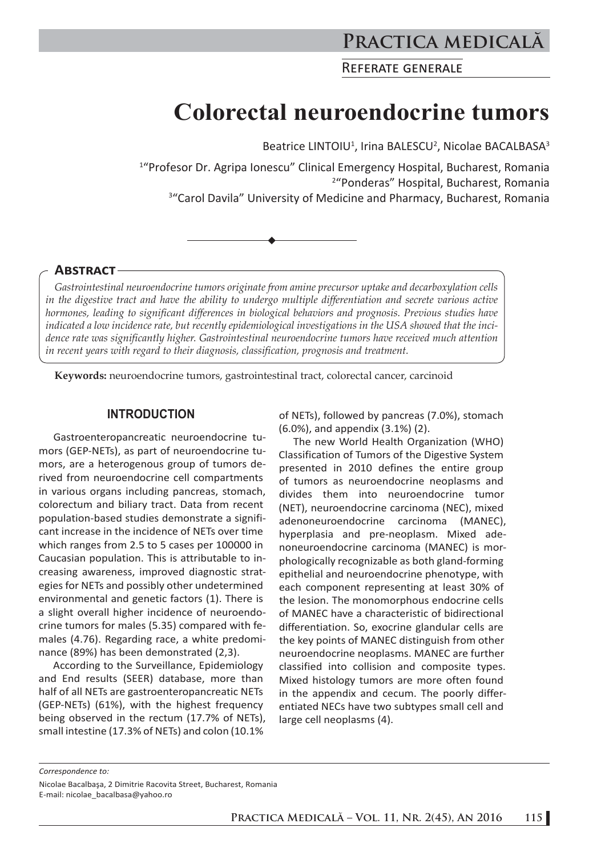# **Practica medicală**

REFERATE GENERALE

# **Colorectal neuroendocrine tumors**

Beatrice LINTOIU<sup>1</sup>, Irina BALESCU<sup>2</sup>, Nicolae BACALBASA<sup>3</sup>

1 "Profesor Dr. Agripa Ionescu" Clinical Emergency Hospital, Bucharest, Romania 2 "Ponderas" Hospital, Bucharest, Romania <sup>3</sup>"Carol Davila" University of Medicine and Pharmacy, Bucharest, Romania

#### **ABSTRACT**

*Gastrointestinal neuroendocrine tumors originate from amine precursor uptake and decarboxylation cells in the digestive tract and have the ability to undergo multiple differentiation and secrete various active hormones, leading to significant differences in biological behaviors and prognosis. Previous studies have indicated a low incidence rate, but recently epidemiological investigations in the USA showed that the incidence rate was significantly higher. Gastrointestinal neuroendocrine tumors have received much attention in recent years with regard to their diagnosis, classification, prognosis and treatment.*

**Keywords:** neuroendocrine tumors, gastrointestinal tract, colorectal cancer, carcinoid

#### **INTRODUCTION**

Gastroenteropancreatic neuroendocrine tumors (GEP-NETs), as part of neuroendocrine tumors, are a heterogenous group of tumors derived from neuroendocrine cell compartments in various organs including pancreas, stomach, colorectum and biliary tract. Data from recent population-based studies demonstrate a significant increase in the incidence of NETs over time which ranges from 2.5 to 5 cases per 100000 in Caucasian population. This is attributable to increasing awareness, improved diagnostic strategies for NETs and possibly other undetermined environmental and genetic factors (1). There is a slight overall higher incidence of neuroendocrine tumors for males (5.35) compared with females (4.76). Regarding race, a white predominance (89%) has been demonstrated (2,3).

According to the Surveillance, Epidemiology and End results (SEER) database, more than half of all NETs are gastroenteropancreatic NETs (GEP-NETs) (61%), with the highest frequency being observed in the rectum (17.7% of NETs), small intestine (17.3% of NETs) and colon (10.1%

of NETs), followed by pancreas (7.0%), stomach (6.0%), and appendix (3.1%) (2).

The new World Health Organization (WHO) Classification of Tumors of the Digestive System presented in 2010 defines the entire group of tumors as neuroendocrine neoplasms and divides them into neuroendocrine tumor (NET), neuroendocrine carcinoma (NEC), mixed adenoneuroendocrine carcinoma (MANEC), hyperplasia and pre-neoplasm. Mixed adenoneuroendocrine carcinoma (MANEC) is morphologically recognizable as both gland-forming epithelial and neuroendocrine phenotype, with each component representing at least 30% of the lesion. The monomorphous endocrine cells of MANEC have a characteristic of bidirectional differentiation. So, exocrine glandular cells are the key points of MANEC distinguish from other neuroendocrine neoplasms. MANEC are further classified into collision and composite types. Mixed histology tumors are more often found in the appendix and cecum. The poorly differentiated NECs have two subtypes small cell and large cell neoplasms (4).

*Correspondence to:* 

Nicolae Bacalbaşa, 2 Dimitrie Racovita Street, Bucharest, Romania E-mail: nicolae\_bacalbasa@yahoo.ro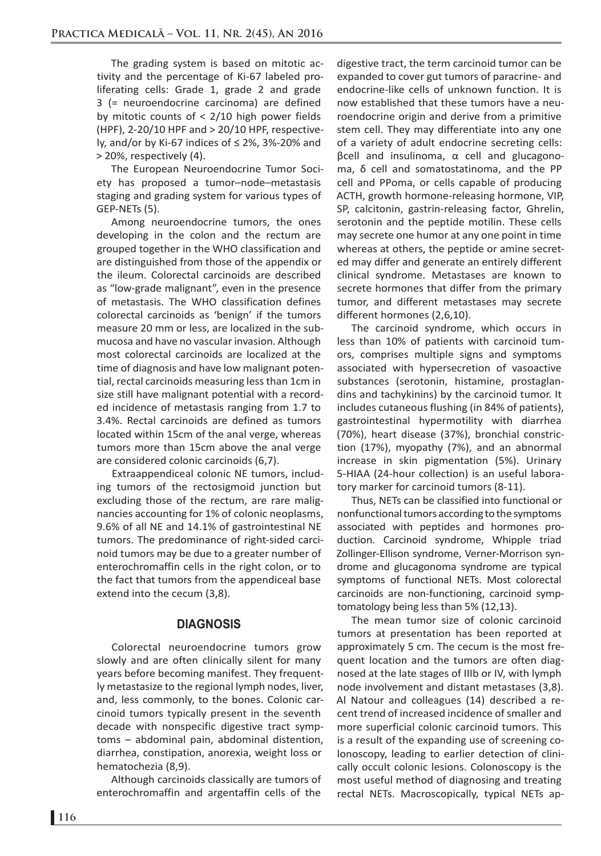The grading system is based on mitotic activity and the percentage of Ki-67 labeled proliferating cells: Grade 1, grade 2 and grade 3 (= neuroendocrine carcinoma) are defined by mitotic counts of < 2/10 high power fields (HPF), 2-20/10 HPF and > 20/10 HPF, respectively, and/or by Ki-67 indices of  $\leq$  2%, 3%-20% and > 20%, respectively (4).

The European Neuroendocrine Tumor Society has proposed a tumor–node–metastasis staging and grading system for various types of GEP-NETs (5).

Among neuroendocrine tumors, the ones developing in the colon and the rectum are grouped together in the WHO classification and are distinguished from those of the appendix or the ileum. Colorectal carcinoids are described as "low-grade malignant", even in the presence of metastasis. The WHO classification defines colorectal carcinoids as 'benign' if the tumors measure 20 mm or less, are localized in the submucosa and have no vascular invasion. Although most colorectal carcinoids are localized at the time of diagnosis and have low malignant potential, rectal carcinoids measuring less than 1cm in size still have malignant potential with a recorded incidence of metastasis ranging from 1.7 to 3.4%. Rectal carcinoids are defined as tumors located within 15cm of the anal verge, whereas tumors more than 15cm above the anal verge are considered colonic carcinoids (6,7).

Extraappendiceal colonic NE tumors, including tumors of the rectosigmoid junction but excluding those of the rectum, are rare malignancies accounting for 1% of colonic neoplasms, 9.6% of all NE and 14.1% of gastrointestinal NE tumors. The predominance of right-sided carcinoid tumors may be due to a greater number of enterochromaffin cells in the right colon, or to the fact that tumors from the appendiceal base extend into the cecum (3,8).

### **DIAGNOSIS**

Colorectal neuroendocrine tumors grow slowly and are often clinically silent for many years before becoming manifest. They frequently metastasize to the regional lymph nodes, liver, and, less commonly, to the bones. Colonic carcinoid tumors typically present in the seventh decade with nonspecific digestive tract symptoms – abdominal pain, abdominal distention, diarrhea, constipation, anorexia, weight loss or hematochezia (8,9).

Although carcinoids classically are tumors of enterochromaffin and argentaffin cells of the

digestive tract, the term carcinoid tumor can be expanded to cover gut tumors of paracrine- and endocrine-like cells of unknown function. It is now established that these tumors have a neuroendocrine origin and derive from a primitive stem cell. They may differentiate into any one of a variety of adult endocrine secreting cells: βcell and insulinoma, α cell and glucagonoma, δ cell and somatostatinoma, and the PP cell and PPoma, or cells capable of producing ACTH, growth hormone-releasing hormone, VIP, SP, calcitonin, gastrin-releasing factor, Ghrelin, serotonin and the peptide motilin. These cells may secrete one humor at any one point in time whereas at others, the peptide or amine secreted may differ and generate an entirely different clinical syndrome. Metastases are known to secrete hormones that differ from the primary tumor, and different metastases may secrete different hormones (2,6,10).

The carcinoid syndrome, which occurs in less than 10% of patients with carcinoid tumors, comprises multiple signs and symptoms associated with hypersecretion of vasoactive substances (serotonin, histamine, prostaglandins and tachykinins) by the carcinoid tumor. It includes cutaneous flushing (in 84% of patients), gastrointestinal hypermotility with diarrhea (70%), heart disease (37%), bronchial constriction (17%), myopathy (7%), and an abnormal increase in skin pigmentation (5%). Urinary 5-HIAA (24-hour collection) is an useful laboratory marker for carcinoid tumors (8-11).

Thus, NETs can be classified into functional or nonfunctional tumors according to the symptoms associated with peptides and hormones production. Carcinoid syndrome, Whipple triad Zollinger-Ellison syndrome, Verner-Morrison syndrome and glucagonoma syndrome are typical symptoms of functional NETs. Most colorectal carcinoids are non-functioning, carcinoid symptomatology being less than 5% (12,13).

The mean tumor size of colonic carcinoid tumors at presentation has been reported at approximately 5 cm. The cecum is the most frequent location and the tumors are often diagnosed at the late stages of IIIb or IV, with lymph node involvement and distant metastases (3,8). Al Natour and colleagues (14) described a recent trend of increased incidence of smaller and more superficial colonic carcinoid tumors. This is a result of the expanding use of screening colonoscopy, leading to earlier detection of clinically occult colonic lesions. Colonoscopy is the most useful method of diagnosing and treating rectal NETs. Macroscopically, typical NETs ap-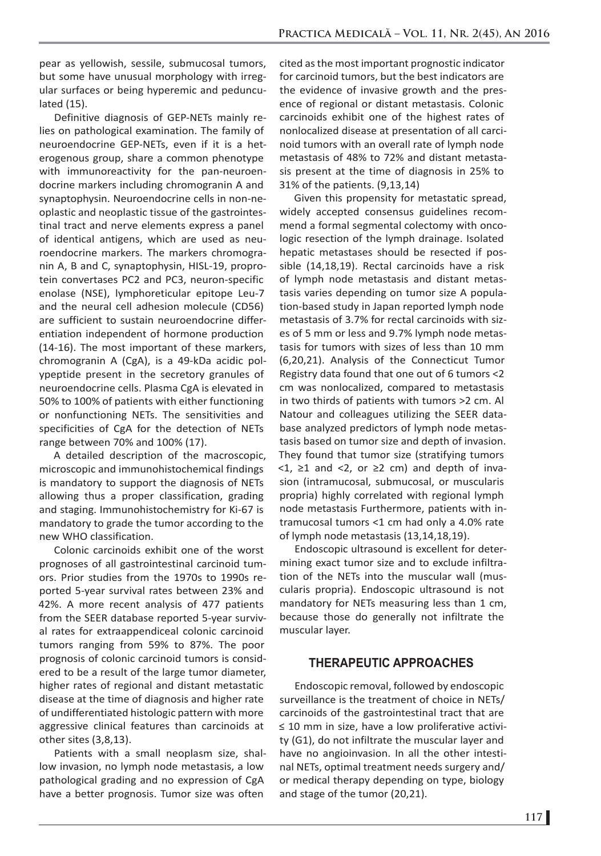pear as yellowish, sessile, submucosal tumors, but some have unusual morphology with irregular surfaces or being hyperemic and pedunculated (15).

Definitive diagnosis of GEP-NETs mainly relies on pathological examination. The family of neuroendocrine GEP-NETs, even if it is a heterogenous group, share a common phenotype with immunoreactivity for the pan-neuroendocrine markers including chromogranin A and synaptophysin. Neuroendocrine cells in non-neoplastic and neoplastic tissue of the gastrointestinal tract and nerve elements express a panel of identical antigens, which are used as neuroendocrine markers. The markers chromogranin A, B and C, synaptophysin, HISL-19, proprotein convertases PC2 and PC3, neuron-specific enolase (NSE), lymphoreticular epitope Leu-7 and the neural cell adhesion molecule (CD56) are sufficient to sustain neuroendocrine differentiation independent of hormone production (14-16). The most important of these markers, chromogranin A (CgA), is a 49-kDa acidic polypeptide present in the secretory granules of neuroendocrine cells. Plasma CgA is elevated in 50% to 100% of patients with either functioning or nonfunctioning NETs. The sensitivities and specificities of CgA for the detection of NETs range between 70% and 100% (17).

A detailed description of the macroscopic, microscopic and immunohistochemical findings is mandatory to support the diagnosis of NETs allowing thus a proper classification, grading and staging. Immunohistochemistry for Ki-67 is mandatory to grade the tumor according to the new WHO classification.

Colonic carcinoids exhibit one of the worst prognoses of all gastrointestinal carcinoid tumors. Prior studies from the 1970s to 1990s reported 5-year survival rates between 23% and 42%. A more recent analysis of 477 patients from the SEER database reported 5-year survival rates for extraappendiceal colonic carcinoid tumors ranging from 59% to 87%. The poor prognosis of colonic carcinoid tumors is considered to be a result of the large tumor diameter, higher rates of regional and distant metastatic disease at the time of diagnosis and higher rate of undifferentiated histologic pattern with more aggressive clinical features than carcinoids at other sites (3,8,13).

Patients with a small neoplasm size, shallow invasion, no lymph node metastasis, a low pathological grading and no expression of CgA have a better prognosis. Tumor size was often

cited as the most important prognostic indicator for carcinoid tumors, but the best indicators are the evidence of invasive growth and the presence of regional or distant metastasis. Colonic carcinoids exhibit one of the highest rates of nonlocalized disease at presentation of all carcinoid tumors with an overall rate of lymph node metastasis of 48% to 72% and distant metastasis present at the time of diagnosis in 25% to 31% of the patients. (9,13,14)

Given this propensity for metastatic spread, widely accepted consensus guidelines recommend a formal segmental colectomy with oncologic resection of the lymph drainage. Isolated hepatic metastases should be resected if possible (14,18,19). Rectal carcinoids have a risk of lymph node metastasis and distant metastasis varies depending on tumor size A population-based study in Japan reported lymph node metastasis of 3.7% for rectal carcinoids with sizes of 5 mm or less and 9.7% lymph node metastasis for tumors with sizes of less than 10 mm (6,20,21). Analysis of the Connecticut Tumor Registry data found that one out of 6 tumors <2 cm was nonlocalized, compared to metastasis in two thirds of patients with tumors >2 cm. Al Natour and colleagues utilizing the SEER database analyzed predictors of lymph node metastasis based on tumor size and depth of invasion. They found that tumor size (stratifying tumors  $\langle 1, \rangle$  21 and  $\langle 2, \rangle$  or  $\geq$  2 cm) and depth of invasion (intramucosal, submucosal, or muscularis propria) highly correlated with regional lymph node metastasis Furthermore, patients with intramucosal tumors <1 cm had only a 4.0% rate of lymph node metastasis (13,14,18,19).

Endoscopic ultrasound is excellent for determining exact tumor size and to exclude infiltration of the NETs into the muscular wall (muscularis propria). Endoscopic ultrasound is not mandatory for NETs measuring less than 1 cm, because those do generally not infiltrate the muscular layer.

# **THERAPEUTIC APPROACHES**

Endoscopic removal, followed by endoscopic surveillance is the treatment of choice in NETs/ carcinoids of the gastrointestinal tract that are ≤ 10 mm in size, have a low proliferative activity (G1), do not infiltrate the muscular layer and have no angioinvasion. In all the other intestinal NETs, optimal treatment needs surgery and/ or medical therapy depending on type, biology and stage of the tumor (20,21).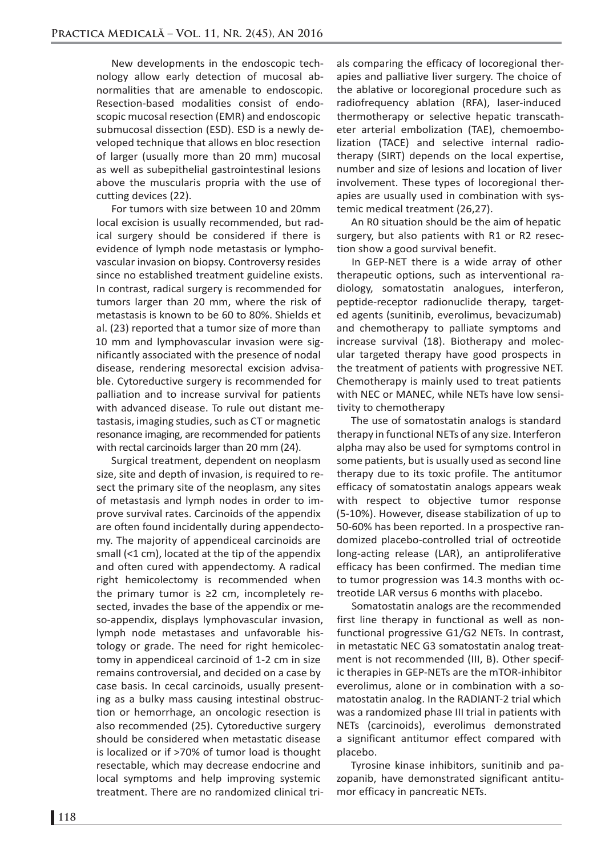New developments in the endoscopic technology allow early detection of mucosal abnormalities that are amenable to endoscopic. Resection-based modalities consist of endoscopic mucosal resection (EMR) and endoscopic submucosal dissection (ESD). ESD is a newly developed technique that allows en bloc resection of larger (usually more than 20 mm) mucosal as well as subepithelial gastrointestinal lesions above the muscularis propria with the use of cutting devices (22).

For tumors with size between 10 and 20mm local excision is usually recommended, but radical surgery should be considered if there is evidence of lymph node metastasis or lymphovascular invasion on biopsy. Controversy resides since no established treatment guideline exists. In contrast, radical surgery is recommended for tumors larger than 20 mm, where the risk of metastasis is known to be 60 to 80%. Shields et al. (23) reported that a tumor size of more than 10 mm and lymphovascular invasion were significantly associated with the presence of nodal disease, rendering mesorectal excision advisable. Cytoreductive surgery is recommended for palliation and to increase survival for patients with advanced disease. To rule out distant metastasis, imaging studies, such as CT or magnetic resonance imaging, are recommended for patients with rectal carcinoids larger than 20 mm (24).

Surgical treatment, dependent on neoplasm size, site and depth of invasion, is required to resect the primary site of the neoplasm, any sites of metastasis and lymph nodes in order to improve survival rates. Carcinoids of the appendix are often found incidentally during appendectomy. The majority of appendiceal carcinoids are small (<1 cm), located at the tip of the appendix and often cured with appendectomy. A radical right hemicolectomy is recommended when the primary tumor is ≥2 cm, incompletely resected, invades the base of the appendix or meso-appendix, displays lymphovascular invasion, lymph node metastases and unfavorable histology or grade. The need for right hemicolectomy in appendiceal carcinoid of 1-2 cm in size remains controversial, and decided on a case by case basis. In cecal carcinoids, usually presenting as a bulky mass causing intestinal obstruction or hemorrhage, an oncologic resection is also recommended (25). Cytoreductive surgery should be considered when metastatic disease is localized or if >70% of tumor load is thought resectable, which may decrease endocrine and local symptoms and help improving systemic treatment. There are no randomized clinical trials comparing the efficacy of locoregional therapies and palliative liver surgery. The choice of the ablative or locoregional procedure such as radiofrequency ablation (RFA), laser-induced thermotherapy or selective hepatic transcatheter arterial embolization (TAE), chemoembolization (TACE) and selective internal radiotherapy (SIRT) depends on the local expertise, number and size of lesions and location of liver involvement. These types of locoregional therapies are usually used in combination with systemic medical treatment (26,27).

An R0 situation should be the aim of hepatic surgery, but also patients with R1 or R2 resection show a good survival benefit.

In GEP-NET there is a wide array of other therapeutic options, such as interventional radiology, somatostatin analogues, interferon, peptide-receptor radionuclide therapy, targeted agents (sunitinib, everolimus, bevacizumab) and chemotherapy to palliate symptoms and increase survival (18). Biotherapy and molecular targeted therapy have good prospects in the treatment of patients with progressive NET. Chemotherapy is mainly used to treat patients with NEC or MANEC, while NETs have low sensitivity to chemotherapy

The use of somatostatin analogs is standard therapy in functional NETs of any size. Interferon alpha may also be used for symptoms control in some patients, but is usually used as second line therapy due to its toxic profile. The antitumor efficacy of somatostatin analogs appears weak with respect to objective tumor response (5-10%). However, disease stabilization of up to 50-60% has been reported. In a prospective randomized placebo-controlled trial of octreotide long-acting release (LAR), an antiproliferative efficacy has been confirmed. The median time to tumor progression was 14.3 months with octreotide LAR versus 6 months with placebo.

Somatostatin analogs are the recommended first line therapy in functional as well as nonfunctional progressive G1/G2 NETs. In contrast, in metastatic NEC G3 somatostatin analog treatment is not recommended (III, B). Other specific therapies in GEP-NETs are the mTOR-inhibitor everolimus, alone or in combination with a somatostatin analog. In the RADIANT-2 trial which was a randomized phase III trial in patients with NETs (carcinoids), everolimus demonstrated a significant antitumor effect compared with placebo.

Tyrosine kinase inhibitors, sunitinib and pazopanib, have demonstrated significant antitumor efficacy in pancreatic NETs.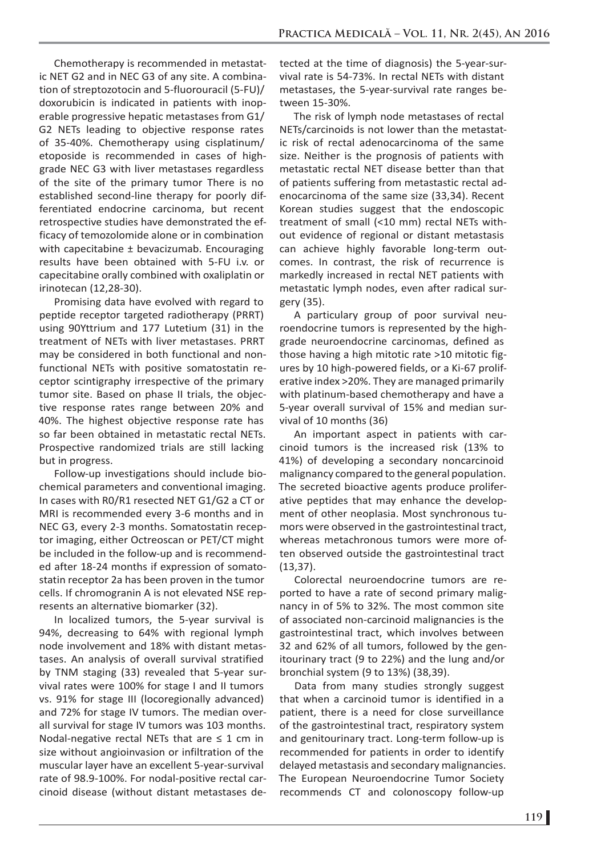Chemotherapy is recommended in metastatic NET G2 and in NEC G3 of any site. A combination of streptozotocin and 5-fluorouracil (5-FU)/ doxorubicin is indicated in patients with inoperable progressive hepatic metastases from G1/ G2 NETs leading to objective response rates of 35-40%. Chemotherapy using cisplatinum/ etoposide is recommended in cases of highgrade NEC G3 with liver metastases regardless of the site of the primary tumor There is no established second-line therapy for poorly differentiated endocrine carcinoma, but recent retrospective studies have demonstrated the efficacy of temozolomide alone or in combination with capecitabine ± bevacizumab. Encouraging results have been obtained with 5-FU i.v. or capecitabine orally combined with oxaliplatin or irinotecan (12,28-30).

Promising data have evolved with regard to peptide receptor targeted radiotherapy (PRRT) using 90Yttrium and 177 Lutetium (31) in the treatment of NETs with liver metastases. PRRT may be considered in both functional and nonfunctional NETs with positive somatostatin receptor scintigraphy irrespective of the primary tumor site. Based on phase II trials, the objective response rates range between 20% and 40%. The highest objective response rate has so far been obtained in metastatic rectal NETs. Prospective randomized trials are still lacking but in progress.

Follow-up investigations should include biochemical parameters and conventional imaging. In cases with R0/R1 resected NET G1/G2 a CT or MRI is recommended every 3-6 months and in NEC G3, every 2-3 months. Somatostatin receptor imaging, either Octreoscan or PET/CT might be included in the follow-up and is recommended after 18-24 months if expression of somatostatin receptor 2a has been proven in the tumor cells. If chromogranin A is not elevated NSE represents an alternative biomarker (32).

In localized tumors, the 5-year survival is 94%, decreasing to 64% with regional lymph node involvement and 18% with distant metastases. An analysis of overall survival stratified by TNM staging (33) revealed that 5-year survival rates were 100% for stage I and II tumors vs. 91% for stage III (locoregionally advanced) and 72% for stage IV tumors. The median overall survival for stage IV tumors was 103 months. Nodal-negative rectal NETs that are  $\leq 1$  cm in size without angioinvasion or infiltration of the muscular layer have an excellent 5-year-survival rate of 98.9-100%. For nodal-positive rectal carcinoid disease (without distant metastases detected at the time of diagnosis) the 5-year-survival rate is 54-73%. In rectal NETs with distant metastases, the 5-year-survival rate ranges between 15-30%.

The risk of lymph node metastases of rectal NETs/carcinoids is not lower than the metastatic risk of rectal adenocarcinoma of the same size. Neither is the prognosis of patients with metastatic rectal NET disease better than that of patients suffering from metastastic rectal adenocarcinoma of the same size (33,34). Recent Korean studies suggest that the endoscopic treatment of small (<10 mm) rectal NETs without evidence of regional or distant metastasis can achieve highly favorable long-term outcomes. In contrast, the risk of recurrence is markedly increased in rectal NET patients with metastatic lymph nodes, even after radical surgery (35).

A particulary group of poor survival neuroendocrine tumors is represented by the highgrade neuroendocrine carcinomas, defined as those having a high mitotic rate >10 mitotic figures by 10 high-powered fields, or a Ki-67 proliferative index >20%. They are managed primarily with platinum-based chemotherapy and have a 5-year overall survival of 15% and median survival of 10 months (36)

An important aspect in patients with carcinoid tumors is the increased risk (13% to 41%) of developing a secondary noncarcinoid malignancy compared to the general population. The secreted bioactive agents produce proliferative peptides that may enhance the development of other neoplasia. Most synchronous tumors were observed in the gastrointestinal tract, whereas metachronous tumors were more often observed outside the gastrointestinal tract (13,37).

Colorectal neuroendocrine tumors are reported to have a rate of second primary malignancy in of 5% to 32%. The most common site of associated non-carcinoid malignancies is the gastrointestinal tract, which involves between 32 and 62% of all tumors, followed by the genitourinary tract (9 to 22%) and the lung and/or bronchial system (9 to 13%) (38,39).

Data from many studies strongly suggest that when a carcinoid tumor is identified in a patient, there is a need for close surveillance of the gastrointestinal tract, respiratory system and genitourinary tract. Long-term follow-up is recommended for patients in order to identify delayed metastasis and secondary malignancies. The European Neuroendocrine Tumor Society recommends CT and colonoscopy follow-up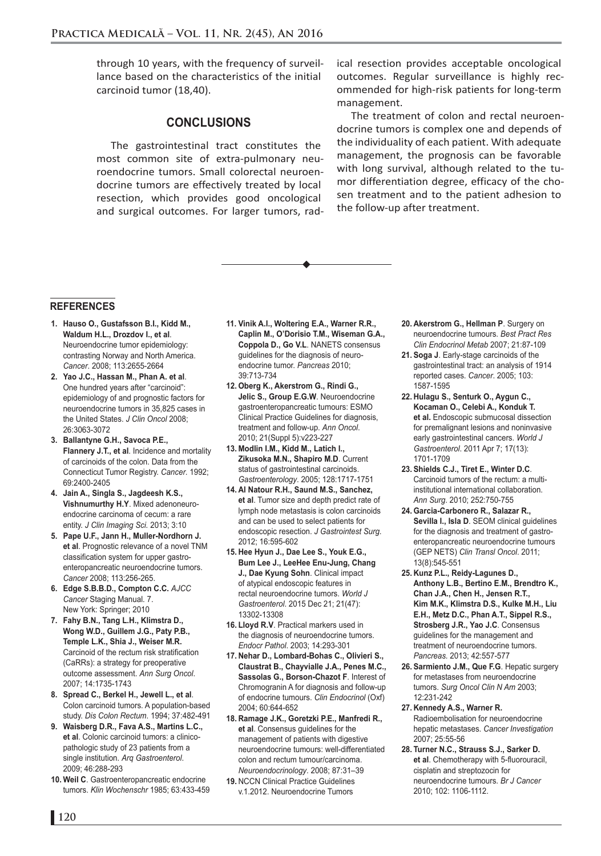through 10 years, with the frequency of surveillance based on the characteristics of the initial carcinoid tumor (18,40).

## **CONCLUSIONS**

The gastrointestinal tract constitutes the most common site of extra-pulmonary neuroendocrine tumors. Small colorectal neuroendocrine tumors are effectively treated by local resection, which provides good oncological and surgical outcomes. For larger tumors, radical resection provides acceptable oncological outcomes. Regular surveillance is highly recommended for high-risk patients for long-term management.

The treatment of colon and rectal neuroendocrine tumors is complex one and depends of the individuality of each patient. With adequate management, the prognosis can be favorable with long survival, although related to the tumor differentiation degree, efficacy of the chosen treatment and to the patient adhesion to the follow-up after treatment.

#### **REFERENCES**

- **1. Hauso O., Gustafsson B.I., Kidd M., Waldum H.L., Drozdov I., et al**. Neuroendocrine tumor epidemiology: contrasting Norway and North America. *Cancer*. 2008; 113:2655-2664
- **2. Yao J.C., Hassan M., Phan A. et al**. One hundred years after "carcinoid": epidemiology of and prognostic factors for neuroendocrine tumors in 35,825 cases in the United States. *J Clin Oncol* 2008; 26:3063-3072
- **3. Ballantyne G.H., Savoca P.E., Flannery J.T., et al**. Incidence and mortality of carcinoids of the colon. Data from the Connecticut Tumor Registry. *Cancer*. 1992; 69:2400-2405
- **4. Jain A., Singla S., Jagdeesh K.S., Vishnumurthy H.Y**. Mixed adenoneuroendocrine carcinoma of cecum: a rare entity. *J Clin Imaging Sci.* 2013; 3:10
- **5. Pape U.F., Jann H., Muller-Nordhorn J. et al**. Prognostic relevance of a novel TNM classification system for upper gastroenteropancreatic neuroendocrine tumors. *Cancer* 2008; 113:256-265.
- **6. Edge S.B.B.D., Compton C.C.** *AJCC Cancer* Staging Manual. 7. New York: Springer; 2010
- **7. Fahy B.N., Tang L.H., Klimstra D., Wong W.D., Guillem J.G., Paty P.B., Temple L.K., Shia J., Weiser M.R.**  Carcinoid of the rectum risk stratification (CaRRs): a strategy for preoperative outcome assessment. *Ann Surg Oncol*. 2007; 14:1735-1743
- **8. Spread C., Berkel H., Jewell L., et al**. Colon carcinoid tumors. A population-based study. *Dis Colon Rectum*. 1994; 37:482-491
- **9. Waisberg D.R., Fava A.S., Martins L.C., et al**. Colonic carcinoid tumors: a clinicopathologic study of 23 patients from a single institution. *Arq Gastroenterol*. 2009; 46:288-293
- **10. Weil C**. Gastroenteropancreatic endocrine tumors. *Klin Wochenschr* 1985; 63:433-459
- **11. Vinik A.I., Woltering E.A., Warner R.R., Caplin M., O'Dorisio T.M., Wiseman G.A., Coppola D., Go V.L**. NANETS consensus guidelines for the diagnosis of neuroendocrine tumor. *Pancreas* 2010; 39:713-734
- **12. Oberg K., Akerstrom G., Rindi G., Jelic S., Group E.G.W**. Neuroendocrine gastroenteropancreatic tumours: ESMO Clinical Practice Guidelines for diagnosis, treatment and follow-up. *Ann Oncol*. 2010; 21(Suppl 5):v223-227
- **13. Modlin I.M., Kidd M., Latich I., Zikusoka M.N., Shapiro M.D**. Current status of gastrointestinal carcinoids. *Gastroenterology*. 2005; 128:1717-1751
- **14. Al Natour R.H., Saund M.S., Sanchez, et al**. Tumor size and depth predict rate of lymph node metastasis is colon carcinoids and can be used to select patients for endoscopic resection. *J Gastrointest Surg*. 2012; 16:595-602
- **15. Hee Hyun J., Dae Lee S., Youk E.G., Bum Lee J., LeeHee Enu-Jung, Chang J., Dae Kyung Sohn**. Clinical impact of atypical endoscopic features in rectal neuroendocrine tumors. *World J Gastroenterol*. 2015 Dec 21; 21(47): 13302-13308
- **16. Lloyd R.V**. Practical markers used in the diagnosis of neuroendocrine tumors. *Endocr Pathol*. 2003; 14:293-301
- **17. Nehar D., Lombard-Bohas C., Olivieri S., Claustrat B., Chayvialle J.A., Penes M.C., Sassolas G., Borson-Chazot F**. Interest of Chromogranin A for diagnosis and follow-up of endocrine tumours. *Clin Endocrinol* (Oxf) 2004; 60:644-652
- **18. Ramage J.K., Goretzki P.E., Manfredi R., et al**. Consensus guidelines for the management of patients with digestive neuroendocrine tumours: well-differentiated colon and rectum tumour/carcinoma. *Neuroendocrinology*. 2008; 87:31–39
- **19.** NCCN Clinical Practice Guidelines v.1.2012. Neuroendocrine Tumors
- **20. Akerstrom G., Hellman P**. Surgery on neuroendocrine tumours. *Best Pract Res Clin Endocrinol Metab* 2007; 21:87-109
- **21. Soga J**. Early-stage carcinoids of the gastrointestinal tract: an analysis of 1914 reported cases. *Cancer*. 2005; 103: 1587-1595
- **22. Hulagu S., Senturk O., Aygun C., Kocaman O., Celebi A., Konduk T. et al.** Endoscopic submucosal dissection for premalignant lesions and noninvasive early gastrointestinal cancers. *World J Gastroenterol*. 2011 Apr 7; 17(13): 1701-1709
- **23. Shields C.J., Tiret E., Winter D.C**. Carcinoid tumors of the rectum: a multiinstitutional international collaboration. *Ann Surg*. 2010; 252:750-755
- **24. Garcia-Carbonero R., Salazar R., Sevilla I., Isla D**. SEOM clinical guidelines for the diagnosis and treatment of gastroenteropancreatic neuroendocrine tumours (GEP NETS) *Clin Transl Oncol*. 2011; 13(8):545-551
- **25. Kunz P.L., Reidy-Lagunes D., Anthony L.B., Bertino E.M., Brendtro K., Chan J.A., Chen H., Jensen R.T., Kim M.K., Klimstra D.S., Kulke M.H., Liu E.H., Metz D.C., Phan A.T., Sippel R.S., Strosberg J.R., Yao J.C**. Consensus guidelines for the management and treatment of neuroendocrine tumors. *Pancreas.* 2013; 42:557-577
- **26. Sarmiento J.M., Que F.G**. Hepatic surgery for metastases from neuroendocrine tumors. *Surg Oncol Clin N Am* 2003; 12:231-242
- **27. Kennedy A.S., Warner R.** Radioembolisation for neuroendocrine hepatic metastases. *Cancer Investigation* 2007; 25:55-56
- **28. Turner N.C., Strauss S.J., Sarker D. et al**. Chemotherapy with 5-fluorouracil, cisplatin and streptozocin for neuroendocrine tumours. *Br J Cancer* 2010; 102: 1106-1112.